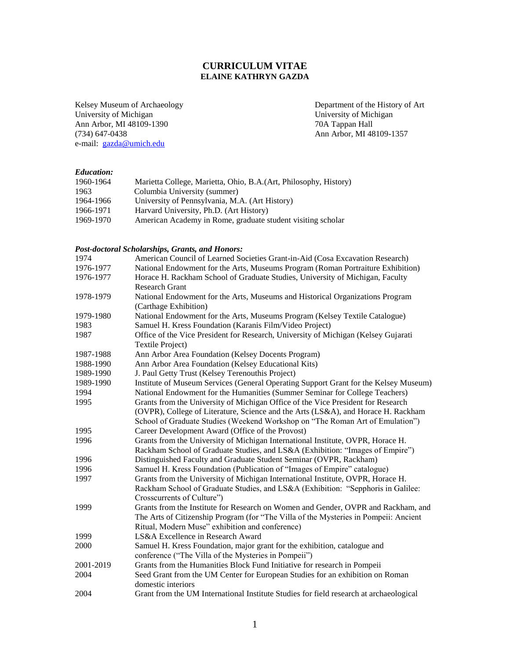# **CURRICULUM VITAE ELAINE KATHRYN GAZDA**

Ann Arbor, MI 48109-1390<br>(734) 647-0438 e-mail: [gazda@umich.edu](mailto:gazda@umich.edu)

Kelsey Museum of Archaeology Department of the History of Art<br>University of Michigan<br>University of Michigan University of Michigan<br>70A Tappan Hall Ann Arbor, MI 48109-1357

## *Education:*

| 1960-1964 | Marietta College, Marietta, Ohio, B.A. (Art, Philosophy, History) |
|-----------|-------------------------------------------------------------------|
| 1963      | Columbia University (summer)                                      |
| 1964-1966 | University of Pennsylvania, M.A. (Art History)                    |
| 1966-1971 | Harvard University, Ph.D. (Art History)                           |
| 1969-1970 | American Academy in Rome, graduate student visiting scholar       |

# *Post-doctoral Scholarships, Grants, and Honors:*

| 1974                                                                              | American Council of Learned Societies Grant-in-Aid (Cosa Excavation Research)          |  |  |
|-----------------------------------------------------------------------------------|----------------------------------------------------------------------------------------|--|--|
| 1976-1977                                                                         | National Endowment for the Arts, Museums Program (Roman Portraiture Exhibition)        |  |  |
| 1976-1977                                                                         | Horace H. Rackham School of Graduate Studies, University of Michigan, Faculty          |  |  |
|                                                                                   | <b>Research Grant</b>                                                                  |  |  |
| 1978-1979                                                                         | National Endowment for the Arts, Museums and Historical Organizations Program          |  |  |
|                                                                                   | (Carthage Exhibition)                                                                  |  |  |
| 1979-1980                                                                         | National Endowment for the Arts, Museums Program (Kelsey Textile Catalogue)            |  |  |
| 1983                                                                              | Samuel H. Kress Foundation (Karanis Film/Video Project)                                |  |  |
| 1987                                                                              | Office of the Vice President for Research, University of Michigan (Kelsey Gujarati     |  |  |
|                                                                                   | Textile Project)                                                                       |  |  |
| 1987-1988                                                                         | Ann Arbor Area Foundation (Kelsey Docents Program)                                     |  |  |
| 1988-1990                                                                         | Ann Arbor Area Foundation (Kelsey Educational Kits)                                    |  |  |
| 1989-1990                                                                         | J. Paul Getty Trust (Kelsey Terenouthis Project)                                       |  |  |
| 1989-1990                                                                         | Institute of Museum Services (General Operating Support Grant for the Kelsey Museum)   |  |  |
| 1994                                                                              | National Endowment for the Humanities (Summer Seminar for College Teachers)            |  |  |
| 1995                                                                              | Grants from the University of Michigan Office of the Vice President for Research       |  |  |
|                                                                                   | (OVPR), College of Literature, Science and the Arts (LS&A), and Horace H. Rackham      |  |  |
|                                                                                   | School of Graduate Studies (Weekend Workshop on "The Roman Art of Emulation")          |  |  |
| 1995                                                                              | Career Development Award (Office of the Provost)                                       |  |  |
| 1996                                                                              | Grants from the University of Michigan International Institute, OVPR, Horace H.        |  |  |
|                                                                                   | Rackham School of Graduate Studies, and LS&A (Exhibition: "Images of Empire")          |  |  |
| 1996                                                                              | Distinguished Faculty and Graduate Student Seminar (OVPR, Rackham)                     |  |  |
| 1996                                                                              | Samuel H. Kress Foundation (Publication of "Images of Empire" catalogue)               |  |  |
| 1997                                                                              | Grants from the University of Michigan International Institute, OVPR, Horace H.        |  |  |
|                                                                                   | Rackham School of Graduate Studies, and LS&A (Exhibition: "Sepphoris in Galilee:       |  |  |
|                                                                                   | Crosscurrents of Culture")                                                             |  |  |
| 1999                                                                              | Grants from the Institute for Research on Women and Gender, OVPR and Rackham, and      |  |  |
|                                                                                   | The Arts of Citizenship Program (for "The Villa of the Mysteries in Pompeii: Ancient   |  |  |
|                                                                                   | Ritual, Modern Muse" exhibition and conference)                                        |  |  |
| 1999                                                                              | LS&A Excellence in Research Award                                                      |  |  |
| 2000<br>Samuel H. Kress Foundation, major grant for the exhibition, catalogue and |                                                                                        |  |  |
|                                                                                   | conference ("The Villa of the Mysteries in Pompeii")                                   |  |  |
| 2001-2019                                                                         | Grants from the Humanities Block Fund Initiative for research in Pompeii               |  |  |
| 2004                                                                              | Seed Grant from the UM Center for European Studies for an exhibition on Roman          |  |  |
|                                                                                   | domestic interiors                                                                     |  |  |
| 2004                                                                              | Grant from the UM International Institute Studies for field research at archaeological |  |  |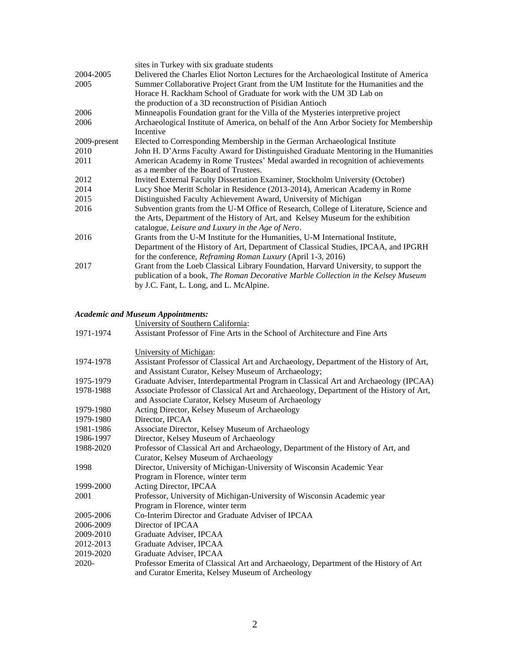|              | sites in Turkey with six graduate students                                                                                                                                                                                     |  |
|--------------|--------------------------------------------------------------------------------------------------------------------------------------------------------------------------------------------------------------------------------|--|
| 2004-2005    | Delivered the Charles Eliot Norton Lectures for the Archaeological Institute of America                                                                                                                                        |  |
| 2005         | Summer Collaborative Project Grant from the UM Institute for the Humanities and the<br>Horace H. Rackham School of Graduate for work with the UM 3D Lab on                                                                     |  |
|              | the production of a 3D reconstruction of Pisidian Antioch                                                                                                                                                                      |  |
| 2006         | Minneapolis Foundation grant for the Villa of the Mysteries interpretive project                                                                                                                                               |  |
| 2006         | Archaeological Institute of America, on behalf of the Ann Arbor Society for Membership<br>Incentive                                                                                                                            |  |
| 2009-present | Elected to Corresponding Membership in the German Archaeological Institute                                                                                                                                                     |  |
| 2010         | John H. D'Arms Faculty Award for Distinguished Graduate Mentoring in the Humanities                                                                                                                                            |  |
| 2011         | American Academy in Rome Trustees' Medal awarded in recognition of achievements<br>as a member of the Board of Trustees.                                                                                                       |  |
| 2012         | Invited External Faculty Dissertation Examiner, Stockholm University (October)                                                                                                                                                 |  |
| 2014         | Lucy Shoe Meritt Scholar in Residence (2013-2014), American Academy in Rome                                                                                                                                                    |  |
| 2015         | Distinguished Faculty Achievement Award, University of Michigan                                                                                                                                                                |  |
| 2016         | Subvention grants from the U-M Office of Research, College of Literature, Science and<br>the Arts, Department of the History of Art, and Kelsey Museum for the exhibition<br>catalogue, Leisure and Luxury in the Age of Nero. |  |
| 2016         | Grants from the U-M Institute for the Humanities, U-M International Institute,                                                                                                                                                 |  |
|              | Department of the History of Art, Department of Classical Studies, IPCAA, and IPGRH<br>for the conference, <i>Reframing Roman Luxury</i> (April 1-3, 2016)                                                                     |  |
| 2017         | Grant from the Loeb Classical Library Foundation, Harvard University, to support the<br>publication of a book, The Roman Decorative Marble Collection in the Kelsey Museum<br>by J.C. Fant, L. Long, and L. McAlpine.          |  |

# *Academic and Museum Appointments:*

|                                                                                                | University of Southern California:                                                                                                              |  |
|------------------------------------------------------------------------------------------------|-------------------------------------------------------------------------------------------------------------------------------------------------|--|
| 1971-1974                                                                                      | Assistant Professor of Fine Arts in the School of Architecture and Fine Arts                                                                    |  |
|                                                                                                | University of Michigan:                                                                                                                         |  |
| 1974-1978                                                                                      | Assistant Professor of Classical Art and Archaeology, Department of the History of Art,<br>and Assistant Curator, Kelsey Museum of Archaeology; |  |
| 1975-1979                                                                                      | Graduate Adviser, Interdepartmental Program in Classical Art and Archaeology (IPCAA)                                                            |  |
| 1978-1988                                                                                      | Associate Professor of Classical Art and Archaeology, Department of the History of Art,<br>and Associate Curator, Kelsey Museum of Archaeology  |  |
| 1979-1980                                                                                      | Acting Director, Kelsey Museum of Archaeology                                                                                                   |  |
| 1979-1980                                                                                      | Director, IPCAA                                                                                                                                 |  |
| 1981-1986                                                                                      | Associate Director, Kelsey Museum of Archaeology                                                                                                |  |
| 1986-1997                                                                                      | Director, Kelsey Museum of Archaeology                                                                                                          |  |
| Professor of Classical Art and Archaeology, Department of the History of Art, and<br>1988-2020 |                                                                                                                                                 |  |
|                                                                                                | Curator, Kelsey Museum of Archaeology                                                                                                           |  |
| 1998                                                                                           | Director, University of Michigan-University of Wisconsin Academic Year                                                                          |  |
|                                                                                                | Program in Florence, winter term                                                                                                                |  |
| 1999-2000                                                                                      | Acting Director, IPCAA                                                                                                                          |  |
| 2001<br>Professor, University of Michigan-University of Wisconsin Academic year                |                                                                                                                                                 |  |
|                                                                                                | Program in Florence, winter term                                                                                                                |  |
| 2005-2006                                                                                      | Co-Interim Director and Graduate Adviser of IPCAA                                                                                               |  |
| 2006-2009                                                                                      | Director of IPCAA                                                                                                                               |  |
| 2009-2010                                                                                      | Graduate Adviser, IPCAA                                                                                                                         |  |
| 2012-2013                                                                                      | Graduate Adviser, IPCAA                                                                                                                         |  |
| 2019-2020                                                                                      | Graduate Adviser, IPCAA                                                                                                                         |  |
| $2020 -$                                                                                       | Professor Emerita of Classical Art and Archaeology, Department of the History of Art<br>and Curator Emerita, Kelsey Museum of Archeology        |  |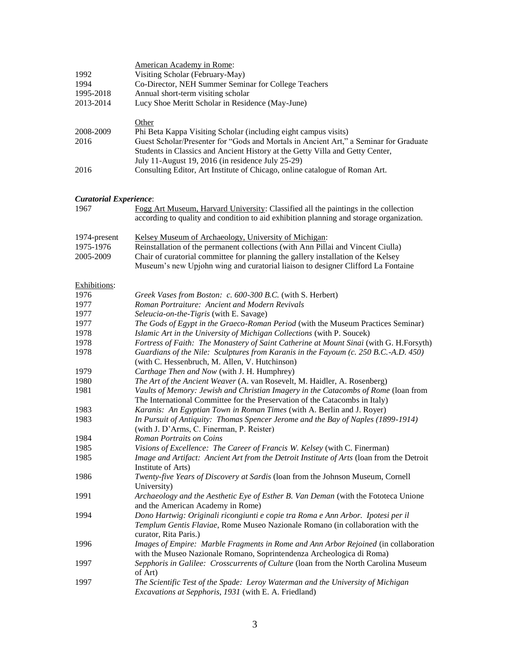|                               | American Academy in Rome:                                                                                                                                                                   |  |  |
|-------------------------------|---------------------------------------------------------------------------------------------------------------------------------------------------------------------------------------------|--|--|
| 1992                          | Visiting Scholar (February-May)                                                                                                                                                             |  |  |
| 1994                          | Co-Director, NEH Summer Seminar for College Teachers                                                                                                                                        |  |  |
| 1995-2018                     | Annual short-term visiting scholar                                                                                                                                                          |  |  |
| 2013-2014                     | Lucy Shoe Meritt Scholar in Residence (May-June)                                                                                                                                            |  |  |
|                               | Other                                                                                                                                                                                       |  |  |
| 2008-2009                     | Phi Beta Kappa Visiting Scholar (including eight campus visits)                                                                                                                             |  |  |
| 2016                          | Guest Scholar/Presenter for "Gods and Mortals in Ancient Art," a Seminar for Graduate                                                                                                       |  |  |
|                               | Students in Classics and Ancient History at the Getty Villa and Getty Center,                                                                                                               |  |  |
|                               | July 11-August 19, 2016 (in residence July 25-29)                                                                                                                                           |  |  |
| 2016                          | Consulting Editor, Art Institute of Chicago, online catalogue of Roman Art.                                                                                                                 |  |  |
| <b>Curatorial Experience:</b> |                                                                                                                                                                                             |  |  |
| 1967                          | Fogg Art Museum, Harvard University: Classified all the paintings in the collection                                                                                                         |  |  |
|                               | according to quality and condition to aid exhibition planning and storage organization.                                                                                                     |  |  |
| 1974-present                  | Kelsey Museum of Archaeology, University of Michigan:                                                                                                                                       |  |  |
| 1975-1976                     | Reinstallation of the permanent collections (with Ann Pillai and Vincent Ciulla)                                                                                                            |  |  |
| 2005-2009                     | Chair of curatorial committee for planning the gallery installation of the Kelsey<br>Museum's new Upjohn wing and curatorial liaison to designer Clifford La Fontaine                       |  |  |
| Exhibitions:                  |                                                                                                                                                                                             |  |  |
| 1976                          | Greek Vases from Boston: c. 600-300 B.C. (with S. Herbert)                                                                                                                                  |  |  |
| 1977                          | Roman Portraiture: Ancient and Modern Revivals                                                                                                                                              |  |  |
| 1977                          | Seleucia-on-the-Tigris (with E. Savage)                                                                                                                                                     |  |  |
| 1977                          | The Gods of Egypt in the Graeco-Roman Period (with the Museum Practices Seminar)                                                                                                            |  |  |
| 1978                          | Islamic Art in the University of Michigan Collections (with P. Soucek)                                                                                                                      |  |  |
| 1978                          | Fortress of Faith: The Monastery of Saint Catherine at Mount Sinai (with G. H.Forsyth)                                                                                                      |  |  |
| 1978                          | Guardians of the Nile: Sculptures from Karanis in the Fayoum (c. 250 B.C.-A.D. 450)                                                                                                         |  |  |
|                               | (with C. Hessenbruch, M. Allen, V. Hutchinson)                                                                                                                                              |  |  |
| 1979                          | Carthage Then and Now (with J. H. Humphrey)                                                                                                                                                 |  |  |
| 1980                          | The Art of the Ancient Weaver (A. van Rosevelt, M. Haidler, A. Rosenberg)                                                                                                                   |  |  |
| 1981                          | Vaults of Memory: Jewish and Christian Imagery in the Catacombs of Rome (loan from<br>The International Committee for the Preservation of the Catacombs in Italy)                           |  |  |
| 1983                          | Karanis: An Egyptian Town in Roman Times (with A. Berlin and J. Royer)                                                                                                                      |  |  |
| 1983                          | In Pursuit of Antiquity: Thomas Spencer Jerome and the Bay of Naples (1899-1914)<br>(with J. D'Arms, C. Finerman, P. Reister)                                                               |  |  |
| 1984                          | Roman Portraits on Coins                                                                                                                                                                    |  |  |
| 1985                          | Visions of Excellence: The Career of Francis W. Kelsey (with C. Finerman)                                                                                                                   |  |  |
| 1985                          | Image and Artifact: Ancient Art from the Detroit Institute of Arts (loan from the Detroit<br>Institute of Arts)                                                                             |  |  |
| 1986                          | Twenty-five Years of Discovery at Sardis (loan from the Johnson Museum, Cornell<br>University)                                                                                              |  |  |
| 1991                          | Archaeology and the Aesthetic Eye of Esther B. Van Deman (with the Fototeca Unione<br>and the American Academy in Rome)                                                                     |  |  |
| 1994                          | Dono Hartwig: Originali ricongiunti e copie tra Roma e Ann Arbor. Ipotesi per il<br>Templum Gentis Flaviae, Rome Museo Nazionale Romano (in collaboration with the<br>curator, Rita Paris.) |  |  |
| 1996                          | Images of Empire: Marble Fragments in Rome and Ann Arbor Rejoined (in collaboration<br>with the Museo Nazionale Romano, Soprintendenza Archeologica di Roma)                                |  |  |
| 1997                          | Sepphoris in Galilee: Crosscurrents of Culture (loan from the North Carolina Museum<br>of Art)                                                                                              |  |  |
| 1997                          | The Scientific Test of the Spade: Leroy Waterman and the University of Michigan<br>Excavations at Sepphoris, 1931 (with E. A. Friedland)                                                    |  |  |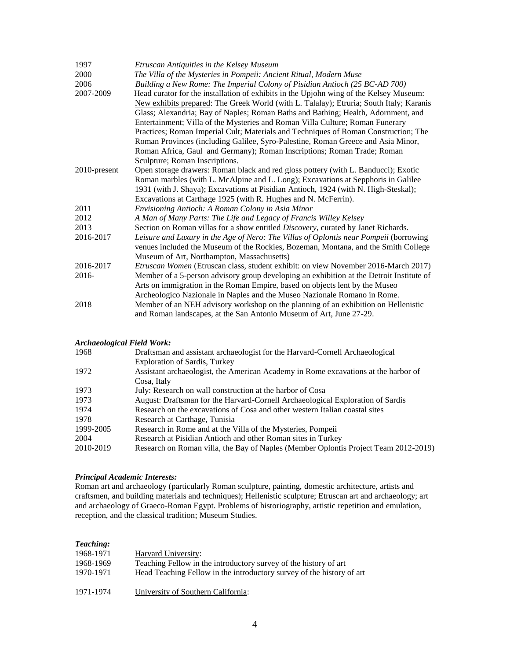| 1997         | Etruscan Antiquities in the Kelsey Museum                                                 |  |
|--------------|-------------------------------------------------------------------------------------------|--|
| 2000         | The Villa of the Mysteries in Pompeii: Ancient Ritual, Modern Muse                        |  |
| 2006         | Building a New Rome: The Imperial Colony of Pisidian Antioch (25 BC-AD 700)               |  |
| 2007-2009    | Head curator for the installation of exhibits in the Upjohn wing of the Kelsey Museum:    |  |
|              | New exhibits prepared: The Greek World (with L. Talalay); Etruria; South Italy; Karanis   |  |
|              | Glass; Alexandria; Bay of Naples; Roman Baths and Bathing; Health, Adornment, and         |  |
|              | Entertainment; Villa of the Mysteries and Roman Villa Culture; Roman Funerary             |  |
|              | Practices; Roman Imperial Cult; Materials and Techniques of Roman Construction; The       |  |
|              | Roman Provinces (including Galilee, Syro-Palestine, Roman Greece and Asia Minor,          |  |
|              | Roman Africa, Gaul and Germany); Roman Inscriptions; Roman Trade; Roman                   |  |
|              | Sculpture; Roman Inscriptions.                                                            |  |
| 2010-present | Open storage drawers: Roman black and red gloss pottery (with L. Banducci); Exotic        |  |
|              | Roman marbles (with L. McAlpine and L. Long); Excavations at Sepphoris in Galilee         |  |
|              | 1931 (with J. Shaya); Excavations at Pisidian Antioch, 1924 (with N. High-Steskal);       |  |
|              | Excavations at Carthage 1925 (with R. Hughes and N. McFerrin).                            |  |
| 2011         | Envisioning Antioch: A Roman Colony in Asia Minor                                         |  |
| 2012         | A Man of Many Parts: The Life and Legacy of Francis Willey Kelsey                         |  |
| 2013         | Section on Roman villas for a show entitled <i>Discovery</i> , curated by Janet Richards. |  |
| 2016-2017    | Leisure and Luxury in the Age of Nero: The Villas of Oplontis near Pompeii (borrowing     |  |
|              | venues included the Museum of the Rockies, Bozeman, Montana, and the Smith College        |  |
|              | Museum of Art, Northampton, Massachusetts)                                                |  |
| 2016-2017    | Etruscan Women (Etruscan class, student exhibit: on view November 2016-March 2017)        |  |
| $2016-$      | Member of a 5-person advisory group developing an exhibition at the Detroit Institute of  |  |
|              | Arts on immigration in the Roman Empire, based on objects lent by the Museo               |  |
|              | Archeologico Nazionale in Naples and the Museo Nazionale Romano in Rome.                  |  |
| 2018         | Member of an NEH advisory workshop on the planning of an exhibition on Hellenistic        |  |
|              | and Roman landscapes, at the San Antonio Museum of Art, June 27-29.                       |  |

## *Archaeological Field Work:*

| 1968      | Draftsman and assistant archaeologist for the Harvard-Cornell Archaeological        |  |
|-----------|-------------------------------------------------------------------------------------|--|
|           | <b>Exploration of Sardis, Turkey</b>                                                |  |
| 1972      | Assistant archaeologist, the American Academy in Rome excavations at the harbor of  |  |
|           | Cosa, Italy                                                                         |  |
| 1973      | July: Research on wall construction at the harbor of Cosa                           |  |
| 1973      | August: Draftsman for the Harvard-Cornell Archaeological Exploration of Sardis      |  |
| 1974      | Research on the excavations of Cosa and other western Italian coastal sites         |  |
| 1978      | Research at Carthage, Tunisia                                                       |  |
| 1999-2005 | Research in Rome and at the Villa of the Mysteries, Pompeii                         |  |
| 2004      | Research at Pisidian Antioch and other Roman sites in Turkey                        |  |
| 2010-2019 | Research on Roman villa, the Bay of Naples (Member Oplontis Project Team 2012-2019) |  |
|           |                                                                                     |  |

### *Principal Academic Interests:*

Roman art and archaeology (particularly Roman sculpture, painting, domestic architecture, artists and craftsmen, and building materials and techniques); Hellenistic sculpture; Etruscan art and archaeology; art and archaeology of Graeco-Roman Egypt. Problems of historiography, artistic repetition and emulation, reception, and the classical tradition; Museum Studies.

# *Teaching:*

| 1968-1971 | Harvard University:                                                   |
|-----------|-----------------------------------------------------------------------|
| 1968-1969 | Teaching Fellow in the introductory survey of the history of art      |
| 1970-1971 | Head Teaching Fellow in the introductory survey of the history of art |
| 1971-1974 | University of Southern California:                                    |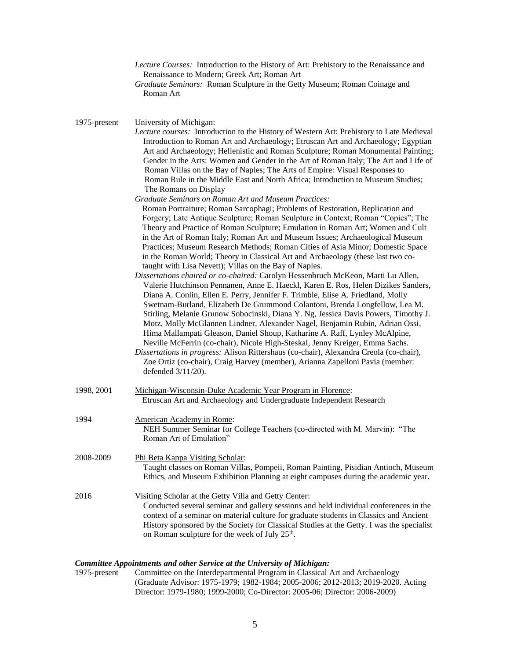|              | Lecture Courses: Introduction to the History of Art: Prehistory to the Renaissance and<br>Renaissance to Modern; Greek Art; Roman Art<br>Graduate Seminars: Roman Sculpture in the Getty Museum; Roman Coinage and<br>Roman Art                                                                                                                                                                                                                                                                                                                                                                                                                                                                                                                                                                                                                                                                                                                                                                                                                                                                                                                                                                                                                                                                                                                                                                                                                                                                                    |
|--------------|--------------------------------------------------------------------------------------------------------------------------------------------------------------------------------------------------------------------------------------------------------------------------------------------------------------------------------------------------------------------------------------------------------------------------------------------------------------------------------------------------------------------------------------------------------------------------------------------------------------------------------------------------------------------------------------------------------------------------------------------------------------------------------------------------------------------------------------------------------------------------------------------------------------------------------------------------------------------------------------------------------------------------------------------------------------------------------------------------------------------------------------------------------------------------------------------------------------------------------------------------------------------------------------------------------------------------------------------------------------------------------------------------------------------------------------------------------------------------------------------------------------------|
| 1975-present | University of Michigan:<br>Lecture courses: Introduction to the History of Western Art: Prehistory to Late Medieval<br>Introduction to Roman Art and Archaeology; Etruscan Art and Archaeology; Egyptian<br>Art and Archaeology; Hellenistic and Roman Sculpture; Roman Monumental Painting;<br>Gender in the Arts: Women and Gender in the Art of Roman Italy; The Art and Life of<br>Roman Villas on the Bay of Naples; The Arts of Empire: Visual Responses to<br>Roman Rule in the Middle East and North Africa; Introduction to Museum Studies;<br>The Romans on Display                                                                                                                                                                                                                                                                                                                                                                                                                                                                                                                                                                                                                                                                                                                                                                                                                                                                                                                                      |
|              | <b>Graduate Seminars on Roman Art and Museum Practices:</b><br>Roman Portraiture; Roman Sarcophagi; Problems of Restoration, Replication and<br>Forgery; Late Antique Sculpture; Roman Sculpture in Context; Roman "Copies"; The<br>Theory and Practice of Roman Sculpture; Emulation in Roman Art; Women and Cult<br>in the Art of Roman Italy; Roman Art and Museum Issues; Archaeological Museum<br>Practices; Museum Research Methods; Roman Cities of Asia Minor; Domestic Space<br>in the Roman World; Theory in Classical Art and Archaeology (these last two co-<br>taught with Lisa Nevett); Villas on the Bay of Naples.<br>Dissertations chaired or co-chaired: Carolyn Hessenbruch McKeon, Marti Lu Allen,<br>Valerie Hutchinson Pennanen, Anne E. Haeckl, Karen E. Ros, Helen Dizikes Sanders,<br>Diana A. Conlin, Ellen E. Perry, Jennifer F. Trimble, Elise A. Friedland, Molly<br>Swetnam-Burland, Elizabeth De Grummond Colantoni, Brenda Longfellow, Lea M.<br>Stirling, Melanie Grunow Sobocinski, Diana Y. Ng, Jessica Davis Powers, Timothy J.<br>Motz, Molly McGlannen Lindner, Alexander Nagel, Benjamin Rubin, Adrian Ossi,<br>Hima Mallampati Gleason, Daniel Shoup, Katharine A. Raff, Lynley McAlpine,<br>Neville McFerrin (co-chair), Nicole High-Steskal, Jenny Kreiger, Emma Sachs.<br>Dissertations in progress: Alison Rittershaus (co-chair), Alexandra Creola (co-chair),<br>Zoe Ortiz (co-chair), Craig Harvey (member), Arianna Zapelloni Pavia (member:<br>defended 3/11/20). |
| 1998, 2001   | Michigan-Wisconsin-Duke Academic Year Program in Florence:<br>Etruscan Art and Archaeology and Undergraduate Independent Research                                                                                                                                                                                                                                                                                                                                                                                                                                                                                                                                                                                                                                                                                                                                                                                                                                                                                                                                                                                                                                                                                                                                                                                                                                                                                                                                                                                  |
| 1994         | American Academy in Rome:<br>NEH Summer Seminar for College Teachers (co-directed with M. Marvin): "The<br>Roman Art of Emulation"                                                                                                                                                                                                                                                                                                                                                                                                                                                                                                                                                                                                                                                                                                                                                                                                                                                                                                                                                                                                                                                                                                                                                                                                                                                                                                                                                                                 |
| 2008-2009    | Phi Beta Kappa Visiting Scholar:<br>Taught classes on Roman Villas, Pompeii, Roman Painting, Pisidian Antioch, Museum<br>Ethics, and Museum Exhibition Planning at eight campuses during the academic year.                                                                                                                                                                                                                                                                                                                                                                                                                                                                                                                                                                                                                                                                                                                                                                                                                                                                                                                                                                                                                                                                                                                                                                                                                                                                                                        |
| 2016         | Visiting Scholar at the Getty Villa and Getty Center:<br>Conducted several seminar and gallery sessions and held individual conferences in the<br>context of a seminar on material culture for graduate students in Classics and Ancient<br>History sponsored by the Society for Classical Studies at the Getty. I was the specialist<br>on Roman sculpture for the week of July 25 <sup>th</sup> .                                                                                                                                                                                                                                                                                                                                                                                                                                                                                                                                                                                                                                                                                                                                                                                                                                                                                                                                                                                                                                                                                                                |

*Committee Appointments and other Service at the University of Michigan:* Committee on the Interdepartmental Program in Classical Art and Archaeology (Graduate Advisor: 1975-1979; 1982-1984; 2005-2006; 2012-2013; 2019-2020. Acting Director: 1979-1980; 1999-2000; Co-Director: 2005-06; Director: 2006-2009)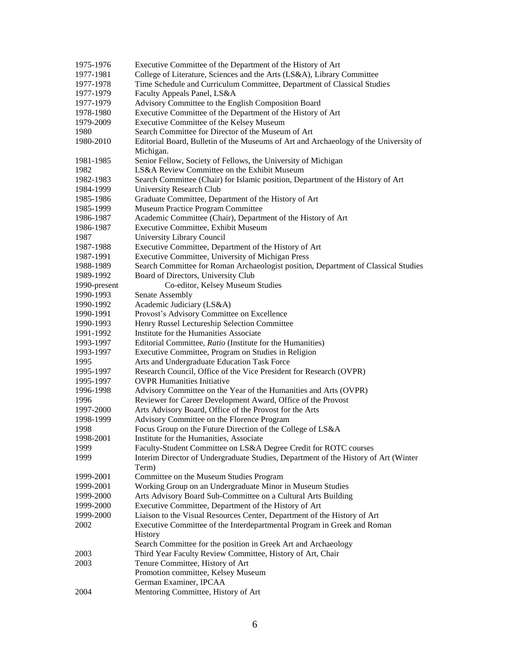| 1975-1976    | Executive Committee of the Department of the History of Art                          |  |
|--------------|--------------------------------------------------------------------------------------|--|
| 1977-1981    | College of Literature, Sciences and the Arts (LS&A), Library Committee               |  |
| 1977-1978    | Time Schedule and Curriculum Committee, Department of Classical Studies              |  |
| 1977-1979    | Faculty Appeals Panel, LS&A                                                          |  |
| 1977-1979    | Advisory Committee to the English Composition Board                                  |  |
| 1978-1980    | Executive Committee of the Department of the History of Art                          |  |
| 1979-2009    | Executive Committee of the Kelsey Museum                                             |  |
| 1980         | Search Committee for Director of the Museum of Art                                   |  |
| 1980-2010    | Editorial Board, Bulletin of the Museums of Art and Archaeology of the University of |  |
|              | Michigan.                                                                            |  |
| 1981-1985    | Senior Fellow, Society of Fellows, the University of Michigan                        |  |
| 1982         | LS&A Review Committee on the Exhibit Museum                                          |  |
| 1982-1983    | Search Committee (Chair) for Islamic position, Department of the History of Art      |  |
| 1984-1999    | University Research Club                                                             |  |
| 1985-1986    | Graduate Committee, Department of the History of Art                                 |  |
| 1985-1999    | Museum Practice Program Committee                                                    |  |
| 1986-1987    | Academic Committee (Chair), Department of the History of Art                         |  |
| 1986-1987    | Executive Committee, Exhibit Museum                                                  |  |
| 1987         | University Library Council                                                           |  |
| 1987-1988    | Executive Committee, Department of the History of Art                                |  |
| 1987-1991    | Executive Committee, University of Michigan Press                                    |  |
| 1988-1989    | Search Committee for Roman Archaeologist position, Department of Classical Studies   |  |
| 1989-1992    | Board of Directors, University Club                                                  |  |
| 1990-present | Co-editor, Kelsey Museum Studies                                                     |  |
| 1990-1993    | Senate Assembly                                                                      |  |
| 1990-1992    | Academic Judiciary (LS&A)                                                            |  |
| 1990-1991    | Provost's Advisory Committee on Excellence                                           |  |
| 1990-1993    | Henry Russel Lectureship Selection Committee                                         |  |
| 1991-1992    | Institute for the Humanities Associate                                               |  |
| 1993-1997    | Editorial Committee, Ratio (Institute for the Humanities)                            |  |
| 1993-1997    | Executive Committee, Program on Studies in Religion                                  |  |
| 1995         | Arts and Undergraduate Education Task Force                                          |  |
| 1995-1997    | Research Council, Office of the Vice President for Research (OVPR)                   |  |
| 1995-1997    | <b>OVPR</b> Humanities Initiative                                                    |  |
| 1996-1998    | Advisory Committee on the Year of the Humanities and Arts (OVPR)                     |  |
| 1996         | Reviewer for Career Development Award, Office of the Provost                         |  |
| 1997-2000    | Arts Advisory Board, Office of the Provost for the Arts                              |  |
| 1998-1999    | Advisory Committee on the Florence Program                                           |  |
| 1998         | Focus Group on the Future Direction of the College of LS&A                           |  |
| 1998-2001    | Institute for the Humanities, Associate                                              |  |
| 1999         | Faculty-Student Committee on LS&A Degree Credit for ROTC courses                     |  |
| 1999         | Interim Director of Undergraduate Studies, Department of the History of Art (Winter  |  |
|              | Term)                                                                                |  |
| 1999-2001    | Committee on the Museum Studies Program                                              |  |
| 1999-2001    | Working Group on an Undergraduate Minor in Museum Studies                            |  |
| 1999-2000    | Arts Advisory Board Sub-Committee on a Cultural Arts Building                        |  |
| 1999-2000    | Executive Committee, Department of the History of Art                                |  |
| 1999-2000    | Liaison to the Visual Resources Center, Department of the History of Art             |  |
| 2002         | Executive Committee of the Interdepartmental Program in Greek and Roman              |  |
|              | History                                                                              |  |
|              | Search Committee for the position in Greek Art and Archaeology                       |  |
| 2003         | Third Year Faculty Review Committee, History of Art, Chair                           |  |
| 2003         | Tenure Committee, History of Art                                                     |  |
|              | Promotion committee, Kelsey Museum                                                   |  |
|              | German Examiner, IPCAA                                                               |  |
| 2004         | Mentoring Committee, History of Art                                                  |  |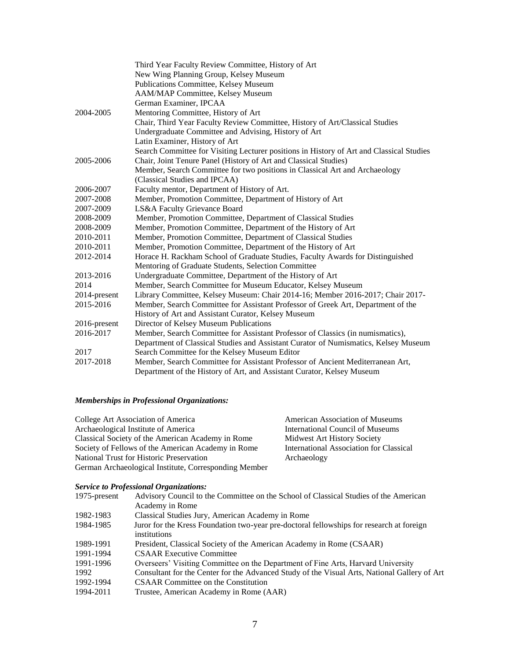| Third Year Faculty Review Committee, History of Art                                      |  |  |
|------------------------------------------------------------------------------------------|--|--|
| New Wing Planning Group, Kelsey Museum                                                   |  |  |
| Publications Committee, Kelsey Museum                                                    |  |  |
| AAM/MAP Committee, Kelsey Museum                                                         |  |  |
| German Examiner, IPCAA                                                                   |  |  |
| Mentoring Committee, History of Art                                                      |  |  |
| Chair, Third Year Faculty Review Committee, History of Art/Classical Studies             |  |  |
| Undergraduate Committee and Advising, History of Art                                     |  |  |
| Latin Examiner, History of Art                                                           |  |  |
| Search Committee for Visiting Lecturer positions in History of Art and Classical Studies |  |  |
| Chair, Joint Tenure Panel (History of Art and Classical Studies)                         |  |  |
| Member, Search Committee for two positions in Classical Art and Archaeology              |  |  |
| (Classical Studies and IPCAA)                                                            |  |  |
| Faculty mentor, Department of History of Art.                                            |  |  |
| Member, Promotion Committee, Department of History of Art                                |  |  |
| LS&A Faculty Grievance Board                                                             |  |  |
| Member, Promotion Committee, Department of Classical Studies                             |  |  |
| Member, Promotion Committee, Department of the History of Art                            |  |  |
| Member, Promotion Committee, Department of Classical Studies                             |  |  |
| Member, Promotion Committee, Department of the History of Art                            |  |  |
| Horace H. Rackham School of Graduate Studies, Faculty Awards for Distinguished           |  |  |
| Mentoring of Graduate Students, Selection Committee                                      |  |  |
| Undergraduate Committee, Department of the History of Art                                |  |  |
| Member, Search Committee for Museum Educator, Kelsey Museum                              |  |  |
| Library Committee, Kelsey Museum: Chair 2014-16; Member 2016-2017; Chair 2017-           |  |  |
| Member, Search Committee for Assistant Professor of Greek Art, Department of the         |  |  |
| History of Art and Assistant Curator, Kelsey Museum                                      |  |  |
| Director of Kelsey Museum Publications                                                   |  |  |
| Member, Search Committee for Assistant Professor of Classics (in numismatics),           |  |  |
| Department of Classical Studies and Assistant Curator of Numismatics, Kelsey Museum      |  |  |
| Search Committee for the Kelsey Museum Editor                                            |  |  |
| Member, Search Committee for Assistant Professor of Ancient Mediterranean Art,           |  |  |
| Department of the History of Art, and Assistant Curator, Kelsey Museum                   |  |  |
|                                                                                          |  |  |

# *Memberships in Professional Organizations:*

| College Art Association of America                    | <b>American Association of Museums</b>  |
|-------------------------------------------------------|-----------------------------------------|
| Archaeological Institute of America                   | International Council of Museums        |
| Classical Society of the American Academy in Rome     | Midwest Art History Society             |
| Society of Fellows of the American Academy in Rome    | International Association for Classical |
| National Trust for Historic Preservation              | Archaeology                             |
| German Archaeological Institute, Corresponding Member |                                         |

# *Service to Professional Organizations:*

| 1975-present | Advisory Council to the Committee on the School of Classical Studies of the American                     |
|--------------|----------------------------------------------------------------------------------------------------------|
|              | Academy in Rome                                                                                          |
| 1982-1983    | Classical Studies Jury, American Academy in Rome                                                         |
| 1984-1985    | Juror for the Kress Foundation two-year pre-doctoral fellowships for research at foreign<br>institutions |
| 1989-1991    | President, Classical Society of the American Academy in Rome (CSAAR)                                     |
| 1991-1994    | <b>CSAAR</b> Executive Committee                                                                         |
| 1991-1996    | Overseers' Visiting Committee on the Department of Fine Arts, Harvard University                         |
| 1992         | Consultant for the Center for the Advanced Study of the Visual Arts, National Gallery of Art             |
| 1992-1994    | <b>CSAAR</b> Committee on the Constitution                                                               |
| 1994-2011    | Trustee, American Academy in Rome (AAR)                                                                  |
|              |                                                                                                          |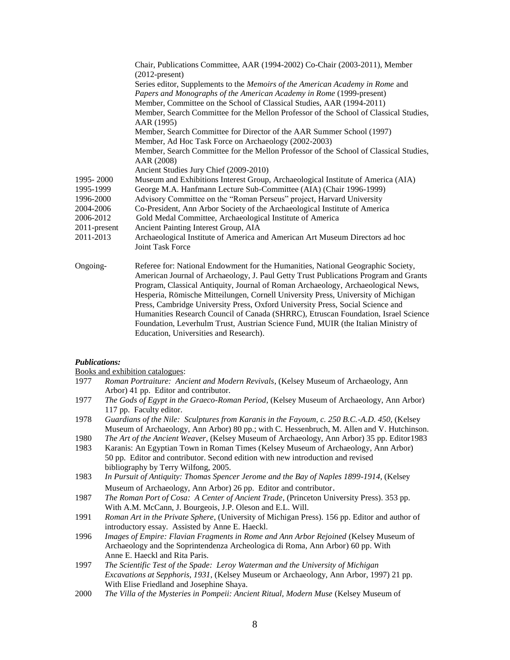|              | Chair, Publications Committee, AAR (1994-2002) Co-Chair (2003-2011), Member<br>$(2012$ -present)        |
|--------------|---------------------------------------------------------------------------------------------------------|
|              | Series editor, Supplements to the Memoirs of the American Academy in Rome and                           |
|              | Papers and Monographs of the American Academy in Rome (1999-present)                                    |
|              | Member, Committee on the School of Classical Studies, AAR (1994-2011)                                   |
|              | Member, Search Committee for the Mellon Professor of the School of Classical Studies,<br>AAR (1995)     |
|              | Member, Search Committee for Director of the AAR Summer School (1997)                                   |
|              | Member, Ad Hoc Task Force on Archaeology (2002-2003)                                                    |
|              | Member, Search Committee for the Mellon Professor of the School of Classical Studies,<br>AAR (2008)     |
|              | Ancient Studies Jury Chief (2009-2010)                                                                  |
| 1995-2000    | Museum and Exhibitions Interest Group, Archaeological Institute of America (AIA)                        |
| 1995-1999    | George M.A. Hanfmann Lecture Sub-Committee (AIA) (Chair 1996-1999)                                      |
| 1996-2000    | Advisory Committee on the "Roman Perseus" project, Harvard University                                   |
| 2004-2006    | Co-President, Ann Arbor Society of the Archaeological Institute of America                              |
| 2006-2012    | Gold Medal Committee, Archaeological Institute of America                                               |
| 2011-present | Ancient Painting Interest Group, AIA                                                                    |
| 2011-2013    | Archaeological Institute of America and American Art Museum Directors ad hoc<br><b>Joint Task Force</b> |
| Ongoing-     | Referee for: National Endowment for the Humanities, National Geographic Society,                        |
|              | American Journal of Archaeology, J. Paul Getty Trust Publications Program and Grants                    |
|              | Program, Classical Antiquity, Journal of Roman Archaeology, Archaeological News,                        |
|              | Hesperia, Römische Mitteilungen, Cornell University Press, University of Michigan                       |
|              | Press, Cambridge University Press, Oxford University Press, Social Science and                          |
|              | Humanities Research Council of Canada (SHRRC), Etruscan Foundation, Israel Science                      |
|              | Foundation, Leverhulm Trust, Austrian Science Fund, MUIR (the Italian Ministry of                       |
|              | Education. Universities and Research).                                                                  |

### *Publications:*

Books and exhibition catalogues:

- 1977 *Roman Portraiture: Ancient and Modern Revivals*, (Kelsey Museum of Archaeology, Ann Arbor) 41 pp. Editor and contributor.
- 1977 *The Gods of Egypt in the Graeco-Roman Period*, (Kelsey Museum of Archaeology, Ann Arbor) 117 pp. Faculty editor.
- 1978 *Guardians of the Nile: Sculptures from Karanis in the Fayoum, c. 250 B.C.-A.D. 450*, (Kelsey Museum of Archaeology, Ann Arbor) 80 pp.; with C. Hessenbruch, M. Allen and V. Hutchinson.
- 1980 *The Art of the Ancient Weaver*, (Kelsey Museum of Archaeology, Ann Arbor) 35 pp. Editor1983
- 1983 Karanis: An Egyptian Town in Roman Times (Kelsey Museum of Archaeology, Ann Arbor) 50 pp. Editor and contributor. Second edition with new introduction and revised bibliography by Terry Wilfong, 2005.
- 1983 *In Pursuit of Antiquity: Thomas Spencer Jerome and the Bay of Naples 1899-1914*, (Kelsey Museum of Archaeology, Ann Arbor) 26 pp. Editor and contributor.
- 1987 *The Roman Port of Cosa: A Center of Ancient Trade*, (Princeton University Press). 353 pp. With A.M. McCann, J. Bourgeois, J.P. Oleson and E.L. Will.
- 1991 *Roman Art in the Private Sphere*, (University of Michigan Press). 156 pp. Editor and author of introductory essay. Assisted by Anne E. Haeckl.
- 1996 *Images of Empire: Flavian Fragments in Rome and Ann Arbor Rejoined* (Kelsey Museum of Archaeology and the Soprintendenza Archeologica di Roma, Ann Arbor) 60 pp. With Anne E. Haeckl and Rita Paris.
- 1997 *The Scientific Test of the Spade: Leroy Waterman and the University of Michigan Excavations at Sepphoris, 1931*, (Kelsey Museum or Archaeology, Ann Arbor, 1997) 21 pp. With Elise Friedland and Josephine Shaya.
- 2000 *The Villa of the Mysteries in Pompeii: Ancient Ritual, Modern Muse* (Kelsey Museum of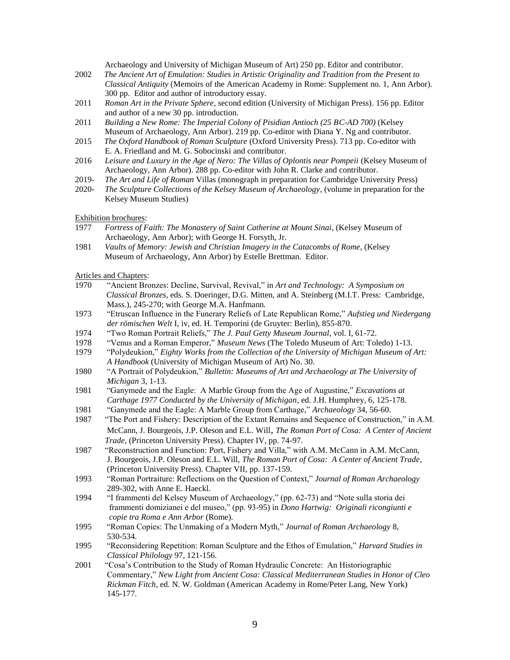Archaeology and University of Michigan Museum of Art) 250 pp. Editor and contributor.

- 2002 *The Ancient Art of Emulation: Studies in Artistic Originality and Tradition from the Present to Classical Antiquity* (Memoirs of the American Academy in Rome: Supplement no. 1, Ann Arbor). 300 pp. Editor and author of introductory essay.
- 2011 *Roman Art in the Private Sphere*, second edition (University of Michigan Press). 156 pp. Editor and author of a new 30 pp. introduction.
- 2011 *Building a New Rome: The Imperial Colony of Pisidian Antioch (25 BC-AD 700)* (Kelsey Museum of Archaeology, Ann Arbor). 219 pp. Co-editor with Diana Y. Ng and contributor.
- 2015 *The Oxford Handbook of Roman Sculpture* (Oxford University Press). 713 pp. Co-editor with E. A. Friedland and M. G. Sobocinski and contributor.
- 2016 *Leisure and Luxury in the Age of Nero: The Villas of Oplontis near Pompeii* (Kelsey Museum of Archaeology, Ann Arbor). 288 pp. Co-editor with John R. Clarke and contributor.
- 2019- *The Art and Life of Roman* Villas (monograph in preparation for Cambridge University Press)
- 2020- *The Sculpture Collections of the Kelsey Museum of Archaeology*, (volume in preparation for the Kelsey Museum Studies)

Exhibition brochures:

- 1977 *Fortress of Faith: The Monastery of Saint Catherine at Mount Sinai*, (Kelsey Museum of Archaeology, Ann Arbor); with George H. Forsyth, Jr.
- 1981 *Vaults of Memory: Jewish and Christian Imagery in the Catacombs of Rome*, (Kelsey Museum of Archaeology, Ann Arbor) by Estelle Brettman. Editor.

Articles and Chapters:

- 1970 "Ancient Bronzes: Decline, Survival, Revival," in *Art and Technology: A Symposium on Classical Bronzes*, eds. S. Doeringer, D.G. Mitten, and A. Steinberg (M.I.T. Press: Cambridge, Mass.), 245-270; with George M.A. Hanfmann.
- 1973 "Etruscan Influence in the Funerary Reliefs of Late Republican Rome," *Aufstieg und Niedergang der römischen Welt* I, iv, ed. H. Temporini (de Gruyter: Berlin), 855-870.
- 1974 "Two Roman Portrait Reliefs," *The J. Paul Getty Museum Journal*, vol. I, 61-72.
- 1978 "Venus and a Roman Emperor," *Museum News* (The Toledo Museum of Art: Toledo) 1-13.
- 1979 "Polydeukion," *Eighty Works from the Collection of the University of Michigan Museum of Art: A Handbook* (University of Michigan Museum of Art) No. 30.
- 1980 "A Portrait of Polydeukion," *Bulletin: Museums of Art and Archaeology at The University of Michigan* 3, 1-13.
- 1981 "Ganymede and the Eagle: A Marble Group from the Age of Augustine," *Excavations at Carthage 1977 Conducted by the University of Michigan*, ed. J.H. Humphrey, 6, 125-178.
- 1981 "Ganymede and the Eagle: A Marble Group from Carthage," *Archaeology* 34, 56-60.
- 1987 "The Port and Fishery: Description of the Extant Remains and Sequence of Construction," in A.M. McCann, J. Bourgeois, J.P. Oleson and E.L. Will, *The Roman Port of Cosa: A Center of Ancient Trade*, (Princeton University Press). Chapter IV, pp. 74-97.
- 1987 "Reconstruction and Function: Port, Fishery and Villa," with A.M. McCann in A.M. McCann, J. Bourgeois, J.P. Oleson and E.L. Will, *The Roman Port of Cosa: A Center of Ancient Trade*, (Princeton University Press). Chapter VII, pp. 137-159.
- 1993 "Roman Portraiture: Reflections on the Question of Context," *Journal of Roman Archaeology* 289-302, with Anne E. Haeckl.
- 1994 "I frammenti del Kelsey Museum of Archaeology," (pp. 62-73) and "Note sulla storia dei frammenti domizianei e del museo," (pp. 93-95) in *Dono Hartwig: Originali ricongiunti e copie tra Roma e Ann Arbor* (Rome).
- 1995 "Roman Copies: The Unmaking of a Modern Myth," *Journal of Roman Archaeology* 8, 530-534.
- 1995 "Reconsidering Repetition: Roman Sculpture and the Ethos of Emulation," *Harvard Studies in Classical Philology* 97, 121-156.
- 2001 "Cosa's Contribution to the Study of Roman Hydraulic Concrete: An Historiographic Commentary," *New Light from Ancient Cosa: Classical Mediterranean Studies in Honor of Cleo Rickman Fitch*, ed. N. W. Goldman (American Academy in Rome/Peter Lang, New York) 145-177.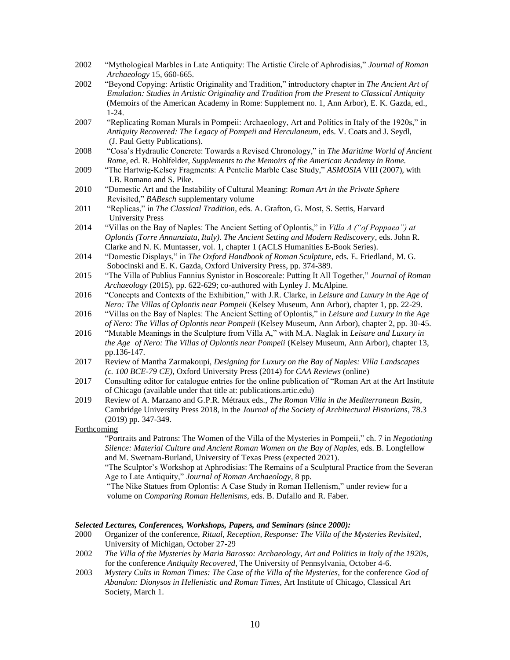- 2002 "Mythological Marbles in Late Antiquity: The Artistic Circle of Aphrodisias," *Journal of Roman Archaeology* 15, 660-665.
- 2002 "Beyond Copying: Artistic Originality and Tradition," introductory chapter in *The Ancient Art of Emulation: Studies in Artistic Originality and Tradition from the Present to Classical Antiquity* (Memoirs of the American Academy in Rome: Supplement no. 1, Ann Arbor), E. K. Gazda, ed., 1-24.
- 2007 "Replicating Roman Murals in Pompeii: Archaeology, Art and Politics in Italy of the 1920s," in *Antiquity Recovered: The Legacy of Pompeii and Herculaneum*, eds. V. Coats and J. Seydl, (J. Paul Getty Publications).
- 2008 "Cosa's Hydraulic Concrete: Towards a Revised Chronology," in *The Maritime World of Ancient Rome*, ed. R. Hohlfelder, *Supplements to the Memoirs of the American Academy in Rome.*
- 2009 "The Hartwig-Kelsey Fragments: A Pentelic Marble Case Study," *ASMOSIA* VIII (2007), with I.B. Romano and S. Pike.
- 2010 "Domestic Art and the Instability of Cultural Meaning: *Roman Art in the Private Sphere* Revisited," *BABesch* supplementary volume
- 2011 "Replicas," in *The Classical Tradition*, eds. A. Grafton, G. Most, S. Settis, Harvard University Press
- 2014 "Villas on the Bay of Naples: The Ancient Setting of Oplontis," in *Villa A ("of Poppaea") at Oplontis (Torre Annunziata, Italy). The Ancient Setting and Modern Rediscovery*, eds. John R. Clarke and N. K. Muntasser, vol. 1, chapter 1 (ACLS Humanities E-Book Series).
- 2014 "Domestic Displays," in *The Oxford Handbook of Roman Sculpture*, eds. E. Friedland, M. G. Sobocinski and E. K. Gazda, Oxford University Press, pp. 374-389.
- 2015 "The Villa of Publius Fannius Synistor in Boscoreale: Putting It All Together," *Journal of Roman Archaeology* (2015), pp. 622-629; co-authored with Lynley J. McAlpine.
- 2016 "Concepts and Contexts of the Exhibition," with J.R. Clarke, in *Leisure and Luxury in the Age of Nero: The Villas of Oplontis near Pompeii* (Kelsey Museum, Ann Arbor), chapter 1, pp. 22-29.
- 2016 "Villas on the Bay of Naples: The Ancient Setting of Oplontis," in *Leisure and Luxury in the Age of Nero: The Villas of Oplontis near Pompeii* (Kelsey Museum, Ann Arbor), chapter 2, pp. 30-45.
- 2016 "Mutable Meanings in the Sculpture from Villa A," with M.A. Naglak in *Leisure and Luxury in the Age of Nero: The Villas of Oplontis near Pompeii* (Kelsey Museum, Ann Arbor), chapter 13, pp.136-147.
- 2017 Review of Mantha Zarmakoupi, *Designing for Luxury on the Bay of Naples: Villa Landscapes (c. 100 BCE-79 CE)*, Oxford University Press (2014) for *CAA Reviews* (online)
- 2017 Consulting editor for catalogue entries for the online publication of "Roman Art at the Art Institute of Chicago (available under that title at: publications.artic.edu)
- 2019 Review of A. Marzano and G.P.R. Métraux eds., *The Roman Villa in the Mediterranean Basin*, Cambridge University Press 2018, in the *Journal of the Society of Architectural Historians*, 78.3 (2019) pp. 347-349.

### Forthcoming

"Portraits and Patrons: The Women of the Villa of the Mysteries in Pompeii," ch. 7 in *Negotiating Silence: Material Culture and Ancient Roman Women on the Bay of Naples*, eds. B. Longfellow and M. Swetnam-Burland, University of Texas Press (expected 2021).

"The Sculptor's Workshop at Aphrodisias: The Remains of a Sculptural Practice from the Severan Age to Late Antiquity," *Journal of Roman Archaeology*, 8 pp.

"The Nike Statues from Oplontis: A Case Study in Roman Hellenism," under review for a volume on *Comparing Roman Hellenisms,* eds. B. Dufallo and R. Faber.

### *Selected Lectures, Conferences, Workshops, Papers, and Seminars (since 2000):*

- 2000 Organizer of the conference, *Ritual, Reception, Response: The Villa of the Mysteries Revisited*, University of Michigan, October 27-29
- 2002 *The Villa of the Mysteries by Maria Barosso: Archaeology, Art and Politics in Italy of the 1920s*, for the conference *Antiquity Recovered*, The University of Pennsylvania, October 4-6.
- 2003 *Mystery Cults in Roman Times: The Case of the Villa of the Mysteries,* for the conference *God of Abandon: Dionysos in Hellenistic and Roman Times*, Art Institute of Chicago, Classical Art Society, March 1.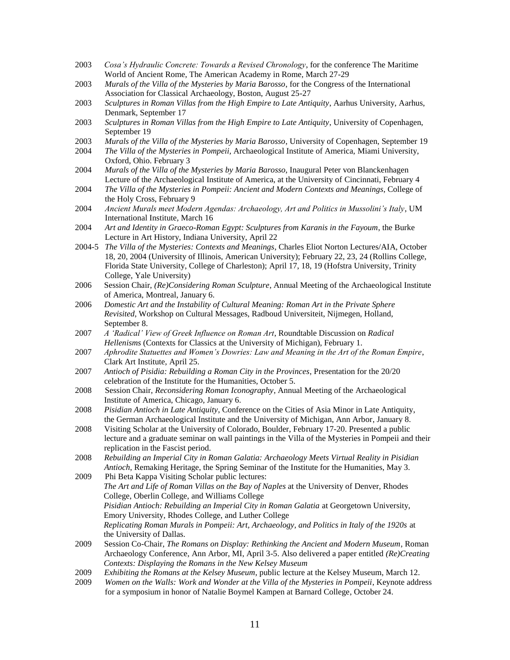- 2003 *Cosa's Hydraulic Concrete: Towards a Revised Chronology*, for the conference The Maritime World of Ancient Rome, The American Academy in Rome, March 27-29
- 2003 *Murals of the Villa of the Mysteries by Maria Barosso*, for the Congress of the International Association for Classical Archaeology, Boston, August 25-27
- 2003 *Sculptures in Roman Villas from the High Empire to Late Antiquity*, Aarhus University, Aarhus, Denmark, September 17
- 2003 *Sculptures in Roman Villas from the High Empire to Late Antiquity*, University of Copenhagen, September 19
- 2003 *Murals of the Villa of the Mysteries by Maria Barosso*, University of Copenhagen, September 19
- 2004 *The Villa of the Mysteries in Pompeii,* Archaeological Institute of America, Miami University, Oxford, Ohio. February 3
- 2004 *Murals of the Villa of the Mysteries by Maria Barosso*, Inaugural Peter von Blanckenhagen Lecture of the Archaeological Institute of America, at the University of Cincinnati, February 4
- 2004 *The Villa of the Mysteries in Pompeii: Ancient and Modern Contexts and Meanings*, College of the Holy Cross, February 9
- 2004 *Ancient Murals meet Modern Agendas: Archaeology, Art and Politics in Mussolini's Italy*, UM International Institute, March 16
- 2004 *Art and Identity in Graeco-Roman Egypt: Sculptures from Karanis in the Fayoum*, the Burke Lecture in Art History, Indiana University, April 22
- 2004-5 *The Villa of the Mysteries: Contexts and Meanings*, Charles Eliot Norton Lectures/AIA, October 18, 20, 2004 (University of Illinois, American University); February 22, 23, 24 (Rollins College, Florida State University, College of Charleston); April 17, 18, 19 (Hofstra University, Trinity College, Yale University)
- 2006 Session Chair, *(Re)Considering Roman Sculpture*, Annual Meeting of the Archaeological Institute of America, Montreal, January 6.
- 2006 *Domestic Art and the Instability of Cultural Meaning: Roman Art in the Private Sphere Revisited*, Workshop on Cultural Messages, Radboud Universiteit, Nijmegen, Holland, September 8.
- 2007 *A 'Radical' View of Greek Influence on Roman Art*, Roundtable Discussion on *Radical Hellenisms* (Contexts for Classics at the University of Michigan), February 1.
- 2007 *Aphrodite Statuettes and Women's Dowries: Law and Meaning in the Art of the Roman Empire*, Clark Art Institute, April 25.
- 2007 *Antioch of Pisidia: Rebuilding a Roman City in the Provinces*, Presentation for the 20/20 celebration of the Institute for the Humanities, October 5.
- 2008 Session Chair, *Reconsidering Roman Iconography*, Annual Meeting of the Archaeological Institute of America, Chicago, January 6.
- 2008 *Pisidian Antioch in Late Antiquity*, Conference on the Cities of Asia Minor in Late Antiquity, the German Archaeological Institute and the University of Michigan, Ann Arbor, January 8.
- 2008 Visiting Scholar at the University of Colorado, Boulder, February 17-20. Presented a public lecture and a graduate seminar on wall paintings in the Villa of the Mysteries in Pompeii and their replication in the Fascist period.
- 2008 *Rebuilding an Imperial City in Roman Galatia: Archaeology Meets Virtual Reality in Pisidian Antioch*, Remaking Heritage, the Spring Seminar of the Institute for the Humanities, May 3.
- 2009 Phi Beta Kappa Visiting Scholar public lectures: *The Art and Life of Roman Villas on the Bay of Naples* at the University of Denver*,* Rhodes College, Oberlin College, and Williams College *Pisidian Antioch: Rebuilding an Imperial City in Roman Galatia* at Georgetown University, Emory University, Rhodes College, and Luther College *Replicating Roman Murals in Pompeii: Art, Archaeology, and Politics in Italy of the 1920s* at the University of Dallas.
- 2009 Session Co-Chair, *The Romans on Display: Rethinking the Ancient and Modern Museum*, Roman Archaeology Conference, Ann Arbor, MI, April 3-5. Also delivered a paper entitled *(Re)Creating Contexts: Displaying the Romans in the New Kelsey Museum*
- 2009 *Exhibiting the Romans at the Kelsey Museum*, public lecture at the Kelsey Museum, March 12.
- 2009 *Women on the Walls: Work and Wonder at the Villa of the Mysteries in Pompeii*, Keynote address for a symposium in honor of Natalie Boymel Kampen at Barnard College, October 24.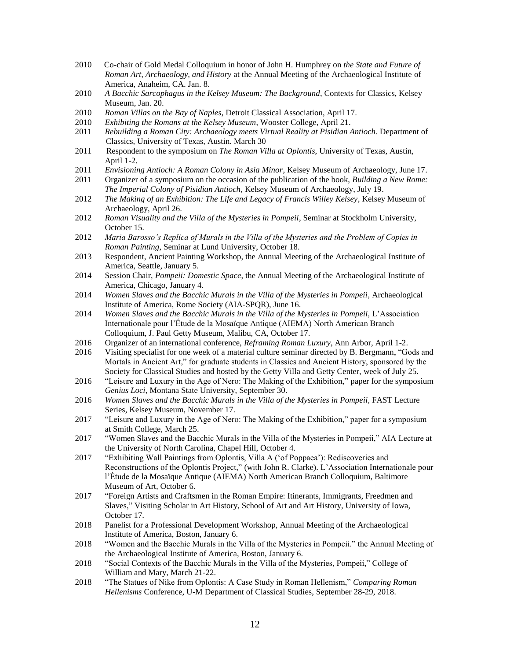- 2010 Co-chair of Gold Medal Colloquium in honor of John H. Humphrey on *the State and Future of Roman Art, Archaeology, and History* at the Annual Meeting of the Archaeological Institute of America, Anaheim, CA. Jan. 8.
- 2010 *A Bacchic Sarcophagus in the Kelsey Museum: The Background*, Contexts for Classics, Kelsey Museum, Jan. 20.
- 2010 *Roman Villas on the Bay of Naples*, Detroit Classical Association, April 17.
- 2010 *Exhibiting the Romans at the Kelsey Museum*, Wooster College, April 21.
- 2011 *Rebuilding a Roman City: Archaeology meets Virtual Reality at Pisidian Antioch.* Department of Classics, University of Texas, Austin. March 30
- 2011 Respondent to the symposium on *The Roman Villa at Oplontis*, University of Texas, Austin, April 1-2.
- 2011 *Envisioning Antioch: A Roman Colony in Asia Minor*, Kelsey Museum of Archaeology, June 17.
- 2011 Organizer of a symposium on the occasion of the publication of the book, *Building a New Rome: The Imperial Colony of Pisidian Antioch*, Kelsey Museum of Archaeology, July 19.
- 2012 *The Making of an Exhibition: The Life and Legacy of Francis Willey Kelsey*, Kelsey Museum of Archaeology, April 26.
- 2012 *Roman Visuality and the Villa of the Mysteries in Pompeii*, Seminar at Stockholm University, October 15.
- 2012 *Maria Barosso's Replica of Murals in the Villa of the Mysteries and the Problem of Copies in Roman Painting*, Seminar at Lund University, October 18.
- 2013 Respondent, Ancient Painting Workshop, the Annual Meeting of the Archaeological Institute of America, Seattle, January 5.
- 2014 Session Chair, *Pompeii: Domestic Space*, the Annual Meeting of the Archaeological Institute of America, Chicago, January 4.
- 2014 *Women Slaves and the Bacchic Murals in the Villa of the Mysteries in Pompeii*, Archaeological Institute of America, Rome Society (AIA-SPQR), June 16.
- 2014 *Women Slaves and the Bacchic Murals in the Villa of the Mysteries in Pompeii*, L'Association Internationale pour l'Étude de la Mosaïque Antique (AIEMA) North American Branch Colloquium, J. Paul Getty Museum, Malibu, CA, October 17.
- 2016 Organizer of an international conference, *Reframing Roman Luxury*, Ann Arbor, April 1-2.
- 2016 Visiting specialist for one week of a material culture seminar directed by B. Bergmann, "Gods and Mortals in Ancient Art," for graduate students in Classics and Ancient History, sponsored by the Society for Classical Studies and hosted by the Getty Villa and Getty Center, week of July 25.
- 2016 "Leisure and Luxury in the Age of Nero: The Making of the Exhibition," paper for the symposium *Genius Loci*, Montana State University, September 30.
- 2016 *Women Slaves and the Bacchic Murals in the Villa of the Mysteries in Pompeii*, FAST Lecture Series, Kelsey Museum, November 17.
- 2017 "Leisure and Luxury in the Age of Nero: The Making of the Exhibition," paper for a symposium at Smith College, March 25.
- 2017 "Women Slaves and the Bacchic Murals in the Villa of the Mysteries in Pompeii," AIA Lecture at the University of North Carolina, Chapel Hill, October 4.
- 2017 "Exhibiting Wall Paintings from Oplontis, Villa A ('of Poppaea'): Rediscoveries and Reconstructions of the Oplontis Project," (with John R. Clarke). L'Association Internationale pour l'Étude de la Mosaïque Antique (AIEMA) North American Branch Colloquium, Baltimore Museum of Art, October 6.
- 2017 "Foreign Artists and Craftsmen in the Roman Empire: Itinerants, Immigrants, Freedmen and Slaves," Visiting Scholar in Art History, School of Art and Art History, University of Iowa, October 17.
- 2018 Panelist for a Professional Development Workshop, Annual Meeting of the Archaeological Institute of America, Boston, January 6.
- 2018 "Women and the Bacchic Murals in the Villa of the Mysteries in Pompeii." the Annual Meeting of the Archaeological Institute of America, Boston, January 6.
- 2018 "Social Contexts of the Bacchic Murals in the Villa of the Mysteries, Pompeii," College of William and Mary, March 21-22.
- 2018 "The Statues of Nike from Oplontis: A Case Study in Roman Hellenism," *Comparing Roman Hellenisms* Conference, U-M Department of Classical Studies, September 28-29, 2018.